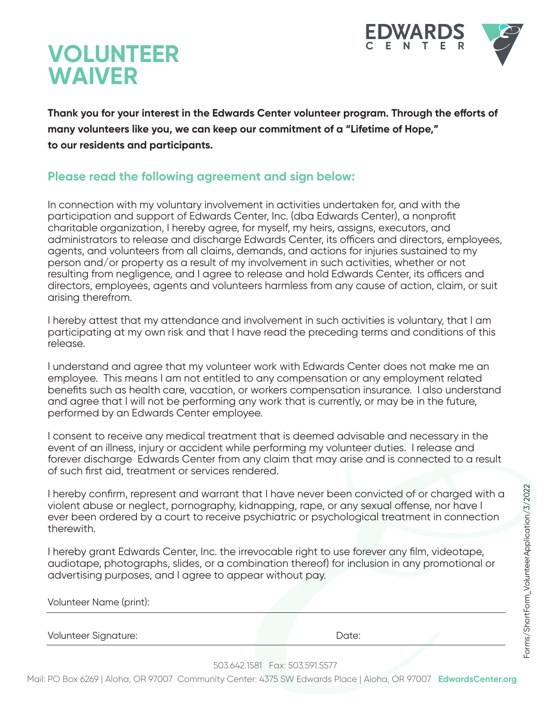

## **VOLUNTEER WAIVER**

Thank you for your interest in the Edwards Center volunteer program. Through the efforts of **many volunteers like you, we can keep our commitment of a "Lifetime of Hope," to our residents and participants.**

## **Please read the following agreement and sign below:**

In connection with my voluntary involvement in activities undertaken for, and with the participation and support of Edwards Center, Inc. (dba Edwards Center), a nonprofit charitable organization, I hereby agree, for myself, my heirs, assigns, executors, and administrators to release and discharge Edwards Center, its officers and directors, employees, agents, and volunteers from all claims, demands, and actions for injuries sustained to my person and/or property as a result of my involvement in such activities, whether or not resulting from negligence, and I agree to release and hold Edwards Center, its officers and directors, employees, agents and volunteers harmless from any cause of action, claim, or suit arising therefrom.

I hereby attest that my attendance and involvement in such activities is voluntary, that I am participating at my own risk and that I have read the preceding terms and conditions of this release.

I understand and agree that my volunteer work with Edwards Center does not make me an employee. This means I am not entitled to any compensation or any employment related benefits such as health care, vacation, or workers compensation insurance. I also understand and agree that I will not be performing any work that is currently, or may be in the future, performed by an Edwards Center employee.

I consent to receive any medical treatment that is deemed advisable and necessary in the event of an illness, injury or accident while performing my volunteer duties. I release and forever discharge Edwards Center from any claim that may arise and is connected to a result of such first aid, treatment or services rendered.

I hereby confirm, represent and warrant that I have never been convicted of or charged with a violent abuse or neglect, pornography, kidnapping, rape, or any sexual offense, nor have I ever been ordered by a court to receive psychiatric or psychological treatment in connection therewith.

I hereby grant Edwards Center, Inc. the irrevocable right to use forever any film, videotape, audiotape, photographs, slides, or a combination thereof) for inclusion in any promotional or advertising purposes, and I agree to appear without pay.

| Volunteer Name (print): |  |  |
|-------------------------|--|--|
|                         |  |  |

Volunteer Signature: Date:

503.642.1581 Fax: 503.591.5577

Mail: PO Box 6269 | Aloha, OR 97007 Community Center: 4375 SW Edwards Place | Aloha, OR 97007 **EdwardsCenter.org**